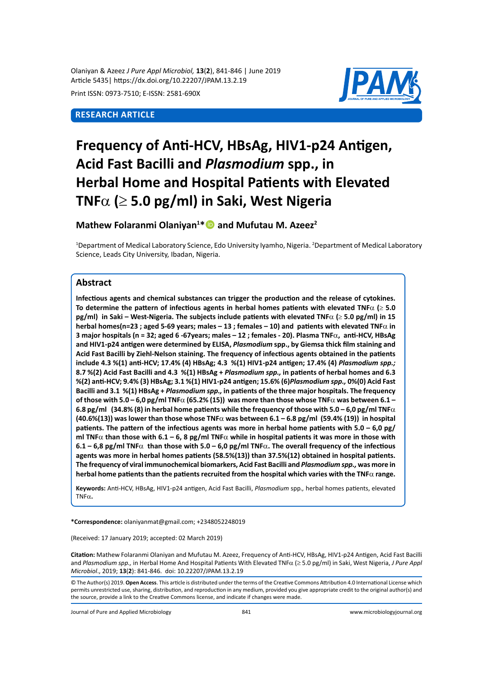Olaniyan & Azeez *J Pure Appl Microbiol,* **13**(**2**), 841-846 | June 2019 Article 5435| https://dx.doi.org/10.22207/JPAM.13.2.19

Print ISSN: 0973-7510; E-ISSN: 2581-690X

# **Research Article**



# **Frequency of Anti-HCV, HBsAg, HIV1-p24 Antigen, Acid Fast Bacilli and** *Plasmodium* **spp., in Herbal Home and Hospital Patients with Elevated TNF**α **(**≥ **5.0 pg/ml) in Saki, West Nigeria**

# **Mathew Folaranmi Olaniyan<sup>1</sup> \* and Mufutau M. Azeez2**

<sup>1</sup>Department of Medical Laboratory Science, Edo University Iyamho, Nigeria. <sup>2</sup>Department of Medical Laboratory Science, Leads City University, Ibadan, Nigeria.

# **Abstract**

**Infectious agents and chemical substances can trigger the production and the release of cytokines. To determine the pattern of infectious agents in herbal homes patients with elevated TNF**α **(**≥ **5.0 pg/ml) in Saki – West-Nigeria. The subjects include patients with elevated TNF**α **(**≥ **5.0 pg/ml) in 15 herbal homes(n=23 ; aged 5-69 years; males – 13 ; females – 10) and patients with elevated TNF**α **in 3 major hospitals (n = 32; aged 6 -67years; males – 12 ; females - 20). Plasma TNF**α**, anti-HCV, HBsAg and HIV1-p24 antigen were determined by ELISA,** *Plasmodium* **spp., by Giemsa thick film staining and Acid Fast Bacilli by Ziehl-Nelson staining. The frequency of infectious agents obtained in the patients include 4.3 %(1) anti-HCV; 17.4% (4) HBsAg; 4.3 %(1) HIV1-p24 antigen; 17.4% (4)** *Plasmodium spp.;*  **8.7 %(2) Acid Fast Bacilli and 4.3 %(1) HBsAg +** *Plasmodium spp.,* **in patients of herbal homes and 6.3 %(2) anti-HCV; 9.4% (3) HBsAg; 3.1 %(1) HIV1-p24 antigen; 15.6% (6)***Plasmodium spp.,* **0%(0) Acid Fast Bacilli and 3.1 %(1) HBsAg +** *Plasmodium spp.,* **in patients of the three major hospitals. The frequency of those with 5.0 – 6,0 pg/ml TNF**α **(65.2% (15)) was more than those whose TNF**α **was between 6.1 – 6.8 pg/ml (34.8% (8) in herbal home patients while the frequency of those with 5.0 – 6,0 pg/ml TNF** $\alpha$ **(40.6%(13)) was lower than those whose TNF**α **was between 6.1 – 6.8 pg/ml (59.4% (19)) in hospital patients. The pattern of the infectious agents was more in herbal home patients with 5.0 – 6,0 pg/ ml TNF**α **than those with 6.1 – 6, 8 pg/ml TNF**α **while in hospital patients it was more in those with 6.1 – 6,8 pg/ml TNF**α **than those with 5.0 – 6,0 pg/ml TNF**α**. The overall frequency of the infectious agents was more in herbal homes patients (58.5%(13)) than 37.5%(12) obtained in hospital patients. The frequency of viral immunochemical biomarkers, Acid Fast Bacilli and** *Plasmodium spp.,* **was more in herbal home patients than the patients recruited from the hospital which varies with the TNF**α **range.**

**Keywords:** Anti-HCV, HBsAg, HIV1-p24 antigen, Acid Fast Bacilli, *Plasmodium* spp*.,* herbal homes patients, elevated TNFα**.**

**\*Correspondence:** olaniyanmat@gmail.com; +2348052248019

(Received: 17 January 2019; accepted: 02 March 2019)

**Citation:** Mathew Folaranmi Olaniyan and Mufutau M. Azeez, Frequency of Anti-HCV, HBsAg, HIV1-p24 Antigen, Acid Fast Bacilli and *Plasmodium spp.,* in Herbal Home And Hospital Patients With Elevated TNFα (≥ 5.0 pg/ml) in Saki, West Nigeria, *J Pure Appl Microbiol*., 2019; **13**(**2**): 841-846. doi: 10.22207/JPAM.13.2.19

Journal of Pure and Applied Microbiology 841 www.microbiologyjournal.org

<sup>©</sup> The Author(s) 2019. **Open Access**. This article is distributed under the terms of the Creative Commons Attribution 4.0 International License which permits unrestricted use, sharing, distribution, and reproduction in any medium, provided you give appropriate credit to the original author(s) and the source, provide a link to the Creative Commons license, and indicate if changes were made.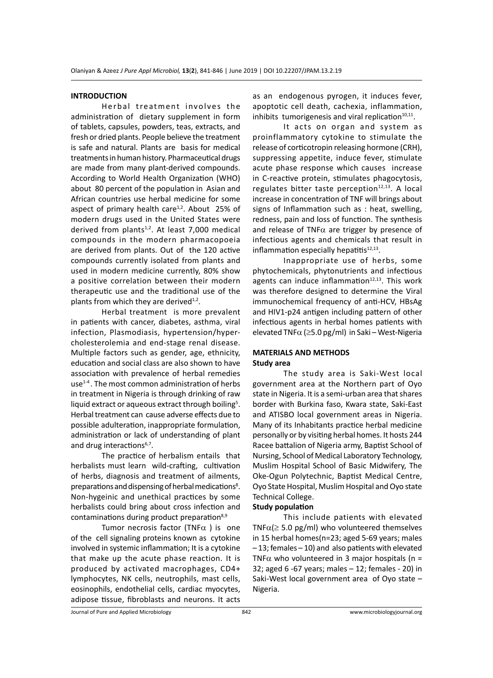#### **INTRODUCTION**

Herbal treatment involves the administration of dietary supplement in form of tablets, capsules, powders, teas, extracts, and fresh or dried plants. People believe the treatment is safe and natural. Plants are basis for medical treatments in human history. Pharmaceutical drugs are made from many plant-derived compounds. According to World Health Organization (WHO) about 80 percent of the population in Asian and African countries use herbal medicine for some aspect of primary health care $1,2$ . About 25% of modern drugs used in the United States were derived from plants $1,2$ . At least 7,000 medical compounds in the modern pharmacopoeia are derived from plants. Out of the 120 active compounds currently isolated from plants and used in modern medicine currently, 80% show a positive correlation between their modern therapeutic use and the traditional use of the plants from which they are derived $1,2$ .

Herbal treatment is more prevalent in patients with cancer, diabetes, asthma, viral infection, Plasmodiasis, hypertension/hypercholesterolemia and end-stage renal disease. Multiple factors such as gender, age, ethnicity, education and social class are also shown to have association with prevalence of herbal remedies  $use<sup>1-4</sup>$ . The most common administration of herbs in treatment in Nigeria is through drinking of raw liquid extract or aqueous extract through boiling<sup>5</sup>. Herbal treatment can cause adverse effects due to possible adulteration, inappropriate formulation, administration or lack of understanding of plant and drug interactions<sup>6,7</sup>.

The practice of herbalism entails that herbalists must learn wild-crafting, cultivation of herbs, diagnosis and treatment of ailments, preparations and dispensing of herbal medications<sup>8</sup>. Non-hygeinic and unethical practices by some herbalists could bring about cross infection and contaminations during product preparation $8,9$ 

Tumor necrosis factor (TNF $\alpha$ ) is one of the cell signaling proteins known as cytokine involved in systemic inflammation; It is a cytokine that make up the acute phase reaction. It is produced by activated macrophages, CD4+ lymphocytes, NK cells, neutrophils, mast cells, eosinophils, endothelial cells, cardiac myocytes, adipose tissue, fibroblasts and neurons. It acts as an endogenous pyrogen, it induces fever, apoptotic cell death, cachexia, inflammation, inhibits tumorigenesis and viral replication $10,11$ .

It acts on organ and system as proinflammatory cytokine to stimulate the release of corticotropin releasing hormone (CRH), suppressing appetite, induce fever, stimulate acute phase response which causes increase in C-reactive protein, stimulates phagocytosis, regulates bitter taste perception $12,13$ . A local increase in concentration of TNF will brings about signs of Inflammation such as : heat, swelling, redness, pain and loss of function. The synthesis and release of TNF $\alpha$  are trigger by presence of infectious agents and chemicals that result in inflammation especially hepatitis $12,13$ .

Inappropriate use of herbs, some phytochemicals, phytonutrients and infectious agents can induce inflammation $12,13$ . This work was therefore designed to determine the Viral immunochemical frequency of anti-HCV, HBsAg and HIV1-p24 antigen including pattern of other infectious agents in herbal homes patients with elevated TNF $\alpha$  ( $\geq$ 5.0 pg/ml) in Saki – West-Nigeria

# **MATERIALS AND METHODS Study area**

The study area is Saki-West local government area at the Northern part of Oyo state in Nigeria. It is a semi-urban area that shares border with Burkina faso, Kwara state, Saki-East and ATISBO local government areas in Nigeria. Many of its Inhabitants practice herbal medicine personally or by visiting herbal homes. It hosts 244 Racee battalion of Nigeria army, Baptist School of Nursing, School of Medical Laboratory Technology, Muslim Hospital School of Basic Midwifery, The Oke-Ogun Polytechnic, Baptist Medical Centre, Oyo State Hospital, Muslim Hospital and Oyo state Technical College.

### **Study population**

This include patients with elevated TNF $\alpha$ ( $\geq$  5.0 pg/ml) who volunteered themselves in 15 herbal homes(n=23; aged 5-69 years; males – 13; females – 10) and also patients with elevated TNF $\alpha$  who volunteered in 3 major hospitals (n = 32; aged 6 -67 years; males – 12; females - 20) in Saki-West local government area of Oyo state – Nigeria.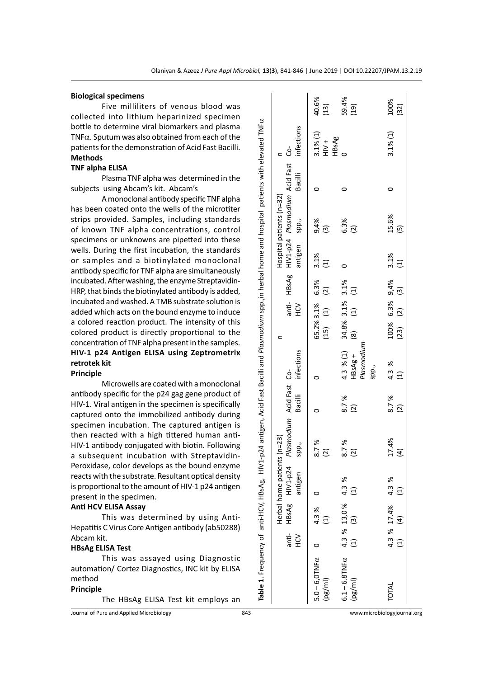|                          |           |                                   | Herbal home patients (n=23)               |                                   |               |                                         |                                               |                                             |                | Hospital patients (n=32)                      |         |                        |                   |
|--------------------------|-----------|-----------------------------------|-------------------------------------------|-----------------------------------|---------------|-----------------------------------------|-----------------------------------------------|---------------------------------------------|----------------|-----------------------------------------------|---------|------------------------|-------------------|
|                          | уЯ<br>Н   |                                   | anti-<br>$HBSAg$<br>$HIV1-p24$<br>antigen | Plasmodium Acid Fast Co-<br>spp., | Bacilli       | infections                              |                                               | $\leq$                                      | antigen spp.,  | anti- HBsAg HIV1-p24 Plasmodium Acid Fast Co- | Bacilli | infections             |                   |
| $5.0 - 6,0$ TNF $\alpha$ |           | $4.3 %$<br>(1)                    |                                           | 8.7%                              |               |                                         | 65.2% 3.1% 6.3%                               |                                             | $3.1\%$<br>(1) | 9,4%<br>(3)                                   |         | $3.1\%(1)$             | 40.6%             |
| (pg/ml)                  |           |                                   |                                           | $\widehat{\omega}$                |               |                                         | $(15)$ $(1)$                                  | $\begin{array}{c}\n\text{(2)}\n\end{array}$ |                |                                               |         | HBsAg<br>$\frac{+}{+}$ | (13)              |
| $6.1 - 6.8$ TNF $\alpha$ |           |                                   |                                           | 8.7%                              |               | 4.3 % (1)                               |                                               |                                             |                | 6.3%                                          |         |                        | 59.4%             |
| $(\text{pg/ml})$         |           | 4.3 % 13,0 % 4.3 %<br>(1) (3) (1) |                                           | $\overline{2}$                    | $8.7%$<br>(2) | Plasmodium<br>HBsAg+<br>spp.,           | 34.8% 3.1% 3.1%<br>(8) (1) (1)                |                                             |                | (2)                                           |         |                        | (19)              |
| TOTAL                    |           | 4.3 % 17.4% 4.3 %                 |                                           | 17.4%                             | 8.7%          | 4.3 %                                   | $100\%$ 6.3% $9,4\%$ 3.1%<br>(23) (2) (3) (1) |                                             |                | 15.6%                                         | 0       | $3.1\%(1)$             | $100\%$<br>$(32)$ |
|                          | $\tag{1}$ | $\overline{4}$                    | $\Xi$                                     | $\overline{4}$                    | $\boxed{2}$   | $\begin{array}{c}\n\hline\n\end{array}$ | $(23)$ $(2)$ $(3)$                            |                                             |                | $\overline{5}$                                |         |                        |                   |

#### **Biological specimens**

Five milliliters of venous blood was collected into lithium heparinized specimen bottle to determine viral biomarkers and plasma TNF $\alpha$ . Sputum was also obtained from each of the patients for the demonstration of Acid Fast Bacilli. **Methods**

#### **TNF alpha ELISA**

Plasma TNF alpha was determined in the subjects using Abcam's kit. Abcam's

A monoclonal antibody specific TNF alpha has been coated onto the wells of the microtiter strips provided. Samples, including standards of known TNF alpha concentrations, control specimens or unknowns are pipetted into these wells. During the first incubation, the standards or samples and a biotinylated monoclonal antibody specific for TNF alpha are simultaneously incubated. After washing, the enzyme Streptavidin-HRP, that binds the biotinylated antibody is added, incubated and washed. A TMB substrate solution is added which acts on the bound enzyme to induce a colored reaction product. The intensity of this colored product is directly proportional to the concentration of TNF alpha present in the samples. **HIV-1 p24 Antigen ELISA using Zeptrometrix retrotek kit**

# **Principle**

Microwells are coated with a monoclonal antibody specific for the p24 gag gene product of HIV-1. Viral antigen in the specimen is specifically captured onto the immobilized antibody during specimen incubation. The captured antigen is then reacted with a high tittered human anti-HIV-1 antibody conjugated with biotin. Following a subsequent incubation with Streptavidin-Peroxidase, color develops as the bound enzyme reacts with the substrate. Resultant optical density is proportional to the amount of HIV-1 p24 antigen present in the specimen.

# **Anti HCV ELISA Assay**

This was determined by using Anti-Hepatitis C Virus Core Antigen antibody (ab50288) Abcam kit.

#### **HBsAg ELISA Test**

This was assayed using Diagnostic automation/ Cortez Diagnostics, INC kit by ELISA method

# **Principle**

The HBsAg ELISA Test kit employs an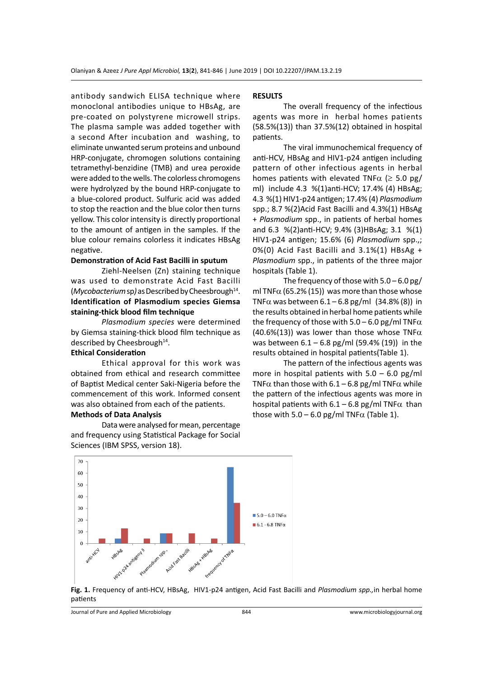antibody sandwich ELISA technique where monoclonal antibodies unique to HBsAg, are pre-coated on polystyrene microwell strips. The plasma sample was added together with a second After incubation and washing, to eliminate unwanted serum proteins and unbound HRP-conjugate, chromogen solutions containing tetramethyl-benzidine (TMB) and urea peroxide were added to the wells. The colorless chromogens were hydrolyzed by the bound HRP-conjugate to a blue-colored product. Sulfuric acid was added to stop the reaction and the blue color then turns yellow. This color intensity is directly proportional to the amount of antigen in the samples. If the blue colour remains colorless it indicates HBsAg negative.

# **Demonstration of Acid Fast Bacilli in sputum**

Ziehl-Neelsen (Zn) staining technique was used to demonstrate Acid Fast Bacilli (*Mycobacterium* sp*)* as Described by Cheesbrough14. **Identification of Plasmodium species Giemsa staining-thick blood film technique**

*Plasmodium species* were determined by Giemsa staining-thick blood film technique as described by Cheesbrough<sup>14</sup>.

# **Ethical Consideration**

Ethical approval for this work was obtained from ethical and research committee of Baptist Medical center Saki-Nigeria before the commencement of this work. Informed consent was also obtained from each of the patients.

# **Methods of Data Analysis**

Data were analysed for mean, percentage and frequency using Statistical Package for Social Sciences (IBM SPSS, version 18).

### **RESULTS**

The overall frequency of the infectious agents was more in herbal homes patients (58.5%(13)) than 37.5%(12) obtained in hospital patients.

The viral immunochemical frequency of anti-HCV, HBsAg and HIV1-p24 antigen including pattern of other infectious agents in herbal homes patients with elevated TNF $\alpha$  ( $\geq$  5.0 pg/ ml) include 4.3 %(1)anti-HCV; 17.4% (4) HBsAg; 4.3 %(1) HIV1-p24 antigen; 17.4% (4) *Plasmodium* spp.; 8.7 %(2)Acid Fast Bacilli and 4.3%(1) HBsAg + *Plasmodium* spp., in patients of herbal homes and 6.3 %(2)anti-HCV; 9.4% (3)HBsAg; 3.1 %(1) HIV1-p24 antigen; 15.6% (6) *Plasmodium* spp.,; 0%(0) Acid Fast Bacilli and 3.1%(1) HBsAg + *Plasmodium* spp., in patients of the three major hospitals (Table 1).

The frequency of those with 5.0 – 6.0 pg/ ml TNF $\alpha$  (65.2% (15)) was more than those whose TNF $\alpha$  was between 6.1 – 6.8 pg/ml (34.8% (8)) in the results obtained in herbal home patients while the frequency of those with  $5.0 - 6.0$  pg/ml TNF $\alpha$ (40.6%(13)) was lower than those whose TNF $\alpha$ was between  $6.1 - 6.8$  pg/ml (59.4% (19)) in the results obtained in hospital patients(Table 1).

The pattern of the infectious agents was more in hospital patients with  $5.0 - 6.0$  pg/ml TNF $\alpha$  than those with 6.1 – 6.8 pg/ml TNF $\alpha$  while the pattern of the infectious agents was more in hospital patients with  $6.1 - 6.8$  pg/ml TNF $\alpha$  than those with  $5.0 - 6.0$  pg/ml TNF $\alpha$  (Table 1).



**Fig. 1.** Frequency of anti-HCV, HBsAg, HIV1-p24 antigen, Acid Fast Bacilli and *Plasmodium spp.,*in herbal home patients

Journal of Pure and Applied Microbiology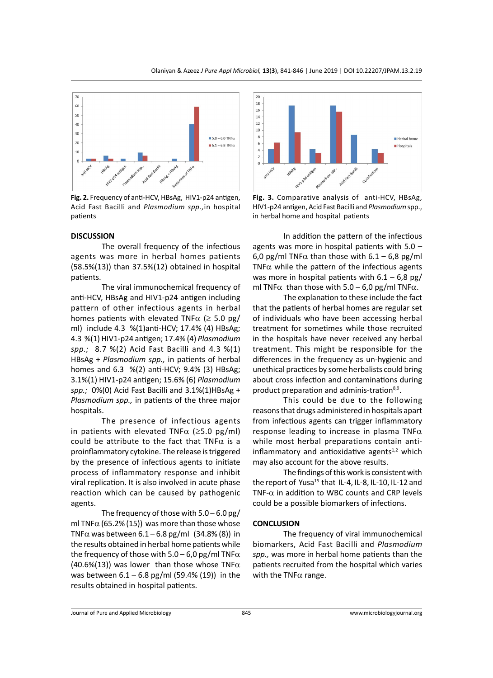

**Fig. 2.** Frequency of anti-HCV, HBsAg, HIV1-p24 antigen, Acid Fast Bacilli and *Plasmodium spp.,*in hospital patients

#### **DISCUSSION**

The overall frequency of the infectious agents was more in herbal homes patients (58.5%(13)) than 37.5%(12) obtained in hospital patients.

The viral immunochemical frequency of anti-HCV, HBsAg and HIV1-p24 antigen including pattern of other infectious agents in herbal homes patients with elevated TNF $\alpha$  ( $\geq$  5.0 pg/ ml) include 4.3 %(1)anti-HCV; 17.4% (4) HBsAg; 4.3 %(1) HIV1-p24 antigen; 17.4% (4) *Plasmodium spp.;* 8.7 %(2) Acid Fast Bacilli and 4.3 %(1) HBsAg + *Plasmodium spp.,* in patients of herbal homes and 6.3 %(2) anti-HCV; 9.4% (3) HBsAg; 3.1%(1) HIV1-p24 antigen; 15.6% (6) *Plasmodium spp.;* 0%(0) Acid Fast Bacilli and 3.1%(1)HBsAg + *Plasmodium spp.,* in patients of the three major hospitals.

The presence of infectious agents in patients with elevated TNF $\alpha$  ( $\geq$ 5.0 pg/ml) could be attribute to the fact that TNF $\alpha$  is a proinflammatory cytokine. The release is triggered by the presence of infectious agents to initiate process of inflammatory response and inhibit viral replication. It is also involved in acute phase reaction which can be caused by pathogenic agents.

The frequency of those with 5.0 – 6.0 pg/ ml TNF $\alpha$  (65.2% (15)) was more than those whose TNFα was between 6.1 – 6.8 pg/ml (34.8% (8)) in the results obtained in herbal home patients while the frequency of those with  $5.0 - 6.0$  pg/ml TNF $\alpha$ (40.6%(13)) was lower than those whose TNF $\alpha$ was between  $6.1 - 6.8$  pg/ml (59.4% (19)) in the results obtained in hospital patients.



**Fig. 3.** Comparative analysis of anti-HCV, HBsAg, HIV1-p24 antigen, Acid Fast Bacilli and *Plasmodium* spp., in herbal home and hospital patients

In addition the pattern of the infectious agents was more in hospital patients with 5.0 – 6,0 pg/ml TNF $\alpha$  than those with 6.1 – 6,8 pg/ml TNF $\alpha$  while the pattern of the infectious agents was more in hospital patients with  $6.1 - 6.8$  pg/ ml TNF $\alpha$  than those with 5.0 – 6,0 pg/ml TNF $\alpha$ .

The explanation to these include the fact that the patients of herbal homes are regular set of individuals who have been accessing herbal treatment for sometimes while those recruited in the hospitals have never received any herbal treatment. This might be responsible for the differences in the frequency as un-hygienic and unethical practices by some herbalists could bring about cross infection and contaminations during product preparation and adminis-tration<sup>8,9</sup>.

This could be due to the following reasons that drugs administered in hospitals apart from infectious agents can trigger inflammatory response leading to increase in plasma TNF $\alpha$ while most herbal preparations contain antiinflammatory and antioxidative agents $1,2$  which may also account for the above results.

The findings of this work is consistent with the report of Yusa<sup>15</sup> that IL-4, IL-8, IL-10, IL-12 and TNF- $\alpha$  in addition to WBC counts and CRP levels could be a possible biomarkers of infections.

#### **CONCLUSION**

The frequency of viral immunochemical biomarkers, Acid Fast Bacilli and *Plasmodium spp.,* was more in herbal home patients than the patients recruited from the hospital which varies with the TNF $\alpha$  range.